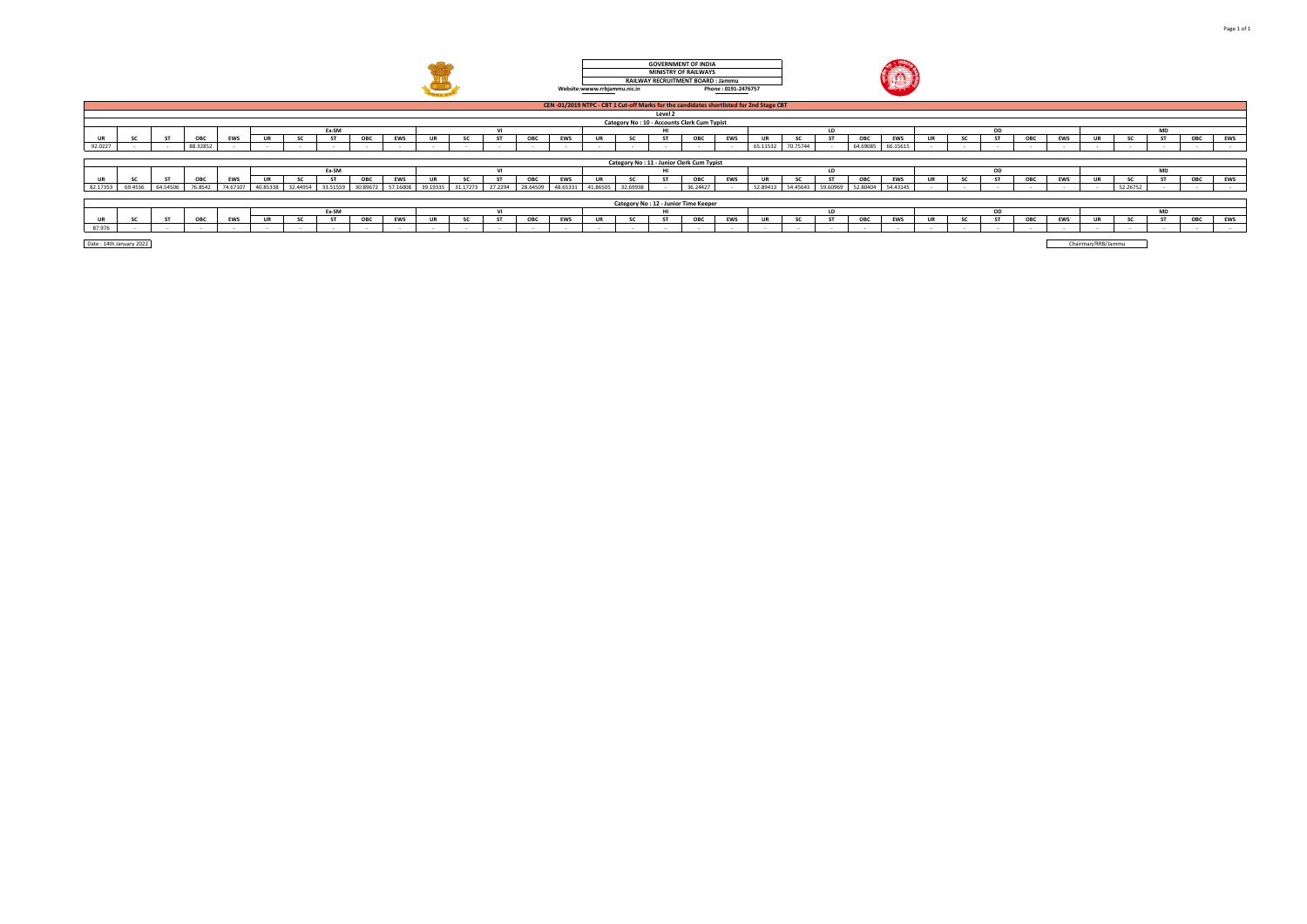

**Website:wwww.rrbjammu.nic.in Phone : 0191-2476757 GOVERNMENT OF INDIA MINISTRY OF RAILWAYS RAILWAY RECRUITMENT BOARD : Jammu**



|                                             | CEN -01/2019 NTPC - CBT 1 Cut-off Marks for the candidates shortlisted for 2nd Stage CBT |           |          |          |                                     |          |           |          |            |           |          |           |          |            |          |           |           |                                      |            |          |           |           |          |            |            |    |     |            |                    |           |           |     |                   |  |  |
|---------------------------------------------|------------------------------------------------------------------------------------------|-----------|----------|----------|-------------------------------------|----------|-----------|----------|------------|-----------|----------|-----------|----------|------------|----------|-----------|-----------|--------------------------------------|------------|----------|-----------|-----------|----------|------------|------------|----|-----|------------|--------------------|-----------|-----------|-----|-------------------|--|--|
|                                             | Level 2                                                                                  |           |          |          |                                     |          |           |          |            |           |          |           |          |            |          |           |           |                                      |            |          |           |           |          |            |            |    |     |            |                    |           |           |     |                   |  |  |
| Category No: 10 - Accounts Clerk Cum Typist |                                                                                          |           |          |          |                                     |          |           |          |            |           |          |           |          |            |          |           |           |                                      |            |          |           |           |          |            |            |    |     |            |                    |           |           |     |                   |  |  |
|                                             |                                                                                          |           |          |          |                                     |          | Ex-SM     |          |            |           |          |           |          |            |          |           |           |                                      |            |          |           |           |          |            |            | OD |     |            |                    |           |           |     |                   |  |  |
| <b>UR</b>                                   | $\epsilon$                                                                               | <b>ST</b> | ОВС      |          | UR                                  |          | ST.       | ОВС      | EWS        | <b>UR</b> |          |           | ОВС      | EWS        | UR       |           |           | ОВС                                  | <b>EWS</b> | UR       | <b>SC</b> |           | ОВС      | EWS        | <b>IIR</b> |    | ОВС | <b>EWS</b> |                    |           |           | ОВС | <b>EWS</b>        |  |  |
| 92.0227                                     |                                                                                          |           | 88.32852 |          |                                     |          |           |          |            |           |          |           |          |            |          |           |           |                                      |            | 65.11532 | 70.75744  |           | 64.69085 | 66.15615   |            |    |     |            |                    |           |           |     |                   |  |  |
|                                             |                                                                                          |           |          |          |                                     |          |           |          |            |           |          |           |          |            |          |           |           |                                      |            |          |           |           |          |            |            |    |     |            |                    |           |           |     |                   |  |  |
|                                             | Category No: 11 - Junior Clerk Cum Typist                                                |           |          |          |                                     |          |           |          |            |           |          |           |          |            |          |           |           |                                      |            |          |           |           |          |            |            |    |     |            |                    |           |           |     |                   |  |  |
|                                             |                                                                                          |           |          |          |                                     |          | Ex-SM     |          |            |           |          |           |          |            |          |           |           |                                      |            |          | ΙD        |           |          |            |            | OD |     |            |                    |           | <b>MD</b> |     |                   |  |  |
| <b>UR</b>                                   | <b>SC</b>                                                                                | <b>ST</b> | ОВС      | EWS      | <b>ST</b><br>ОВС<br>UR<br><b>SC</b> |          |           |          | <b>EWS</b> | <b>UR</b> |          | <b>ST</b> | ОВС      | <b>EWS</b> | UR       | <b>SC</b> | <b>ST</b> | ОВС                                  | <b>EWS</b> | UR       | <b>SC</b> | <b>ST</b> | ОВС      | <b>EWS</b> | UR         | ςT | ОВС | EWS        | <b>UR</b>          | <b>SC</b> | - ST      | ОВС | <b>EWS</b>        |  |  |
| 82.17353                                    | 69.4536                                                                                  | 64.54506  | 76.8542  | 74.67107 | 40.85338                            | 32.44954 | 33.51559  | 30.89672 | 57.16008   | 39.19335  | 31.17273 | 27.2294   | 28.64509 | 48.65331   | 41.86505 | 32.69938  |           | 36.24427                             |            | 52.89413 | 54.45643  | 59.60969  | 52.80404 | 54.43145   |            |    |     |            |                    | 52.26752  |           |     | $\sim$ 100 $\sim$ |  |  |
|                                             |                                                                                          |           |          |          |                                     |          |           |          |            |           |          |           |          |            |          |           |           |                                      |            |          |           |           |          |            |            |    |     |            |                    |           |           |     |                   |  |  |
|                                             |                                                                                          |           |          |          |                                     |          |           |          |            |           |          |           |          |            |          |           |           | Category No: 12 - Junior Time Keeper |            |          |           |           |          |            |            |    |     |            |                    |           |           |     |                   |  |  |
|                                             |                                                                                          |           |          |          |                                     |          | Ex-SM     |          |            |           |          |           |          |            |          |           |           |                                      |            |          |           | ID        |          |            |            | OD |     |            |                    |           | <b>MD</b> |     |                   |  |  |
| <b>UR</b>                                   | SC                                                                                       | <b>ST</b> | ОВС      |          | UR                                  | $^{c}$   | <b>ST</b> | ОВС      | <b>EWS</b> | UR        |          |           | ОВС      | EWS        | UR       | <b>SC</b> | <b>ST</b> | ОВС                                  | <b>EWS</b> | UR       | SC        |           | ОВС      | EWS        | UR         |    | ОВС | <b>EWS</b> |                    | sc        |           | ОВС | <b>EWS</b>        |  |  |
| 87.976                                      |                                                                                          |           |          |          |                                     |          |           |          |            |           |          |           |          |            |          |           |           |                                      |            |          |           |           |          |            |            |    |     |            |                    |           |           |     | $\sim$ $ \sim$    |  |  |
|                                             |                                                                                          |           |          |          |                                     |          |           |          |            |           |          |           |          |            |          |           |           |                                      |            |          |           |           |          |            |            |    |     |            |                    |           |           |     |                   |  |  |
| Date: 14th January 2022                     |                                                                                          |           |          |          |                                     |          |           |          |            |           |          |           |          |            |          |           |           |                                      |            |          |           |           |          |            |            |    |     |            | Chairman/RRB/Jammu |           |           |     |                   |  |  |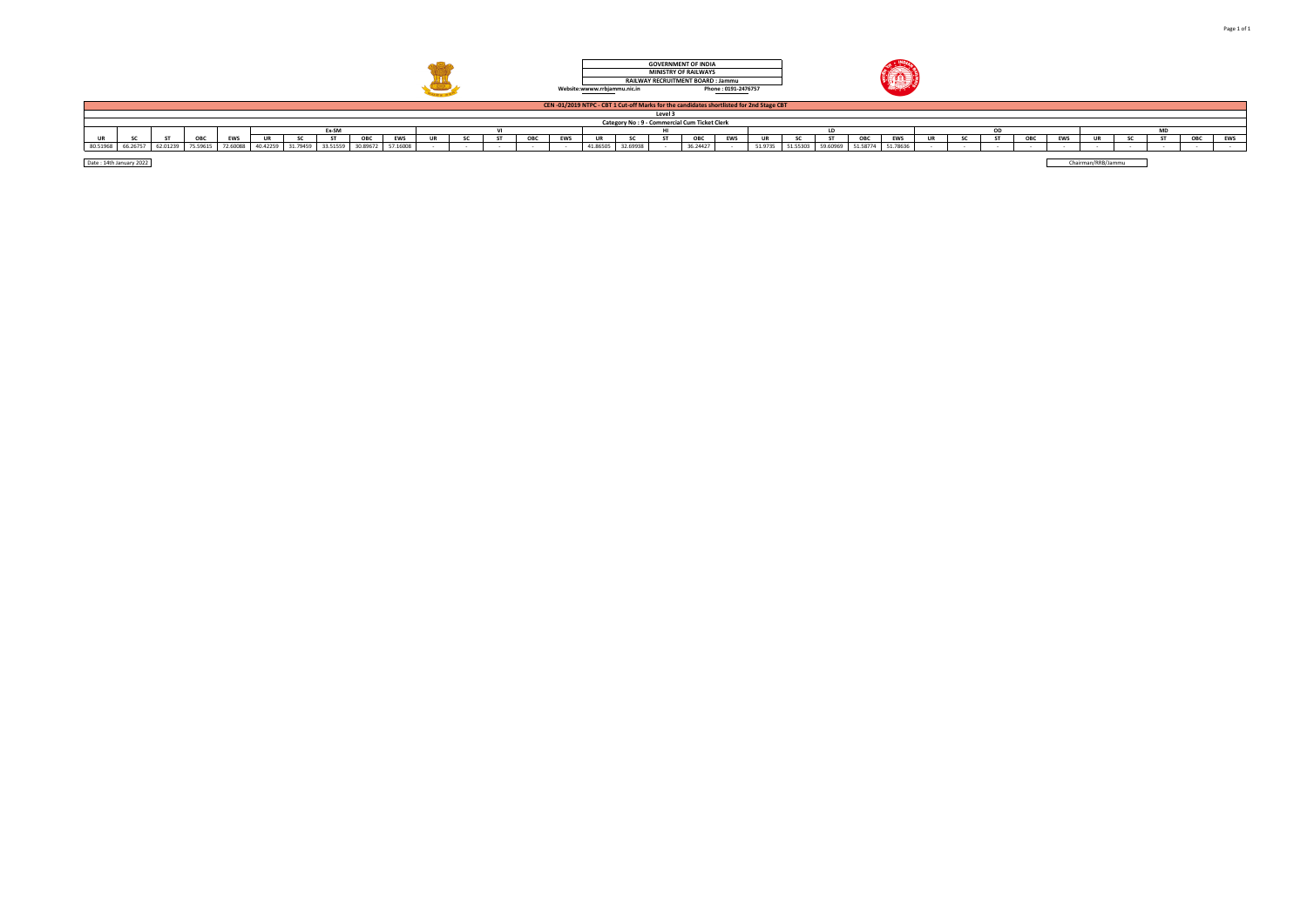

**Website:wwww.rrbjammu.nic.in Phone : 0191-2476757 GOVERNMENT OF INDIA MINISTRY OF RAILWAYS RAILWAY RECRUITMENT BOARD : Jammu**



|                         | CEN -01/2019 NTPC - CBT 1 Cut-off Marks for the candidates shortlisted for 2nd Stage CBT |  |                                     |          |    |       |                            |          |          |  |  |  |     |            |          |          |  |            |  |        |          |                            |            |     |            |  |                |     |    |  |     |            |
|-------------------------|------------------------------------------------------------------------------------------|--|-------------------------------------|----------|----|-------|----------------------------|----------|----------|--|--|--|-----|------------|----------|----------|--|------------|--|--------|----------|----------------------------|------------|-----|------------|--|----------------|-----|----|--|-----|------------|
|                         | Level 3                                                                                  |  |                                     |          |    |       |                            |          |          |  |  |  |     |            |          |          |  |            |  |        |          |                            |            |     |            |  |                |     |    |  |     |            |
|                         | Category No: 9 - Commercial Cum Ticket Clerk                                             |  |                                     |          |    |       |                            |          |          |  |  |  |     |            |          |          |  |            |  |        |          |                            |            |     |            |  |                |     |    |  |     |            |
|                         |                                                                                          |  |                                     |          |    | Ex-SM |                            |          |          |  |  |  |     |            |          |          |  |            |  |        |          |                            |            |     |            |  |                |     |    |  |     |            |
| UR                      | $\sim$                                                                                   |  | $\sim$                              | EWS      | UF |       |                            | ОВС      | EWS      |  |  |  | OBC | <b>EWS</b> |          |          |  | <b>OBC</b> |  |        |          |                            | <b>OBC</b> | EWS | <b>LIR</b> |  | $\sim$<br>UDL. | EWS | UR |  | ОВС | <b>EWS</b> |
|                         |                                                                                          |  | 80.51968 66.26757 62.01239 75.59615 | 72.60088 |    |       | 40.42259 31.79459 33.51559 | 30.89672 | 57.16008 |  |  |  |     |            | 41.86505 | 32.69938 |  | 36.24427   |  | 51.973 | 51 55303 | 59.60969 51.58774 51.78636 |            |     |            |  |                |     |    |  |     |            |
|                         |                                                                                          |  |                                     |          |    |       |                            |          |          |  |  |  |     |            |          |          |  |            |  |        |          |                            |            |     |            |  |                |     |    |  |     |            |
| Date: 14th January 2022 |                                                                                          |  |                                     |          |    |       |                            |          |          |  |  |  |     |            |          |          |  |            |  |        |          |                            |            |     |            |  |                |     |    |  |     |            |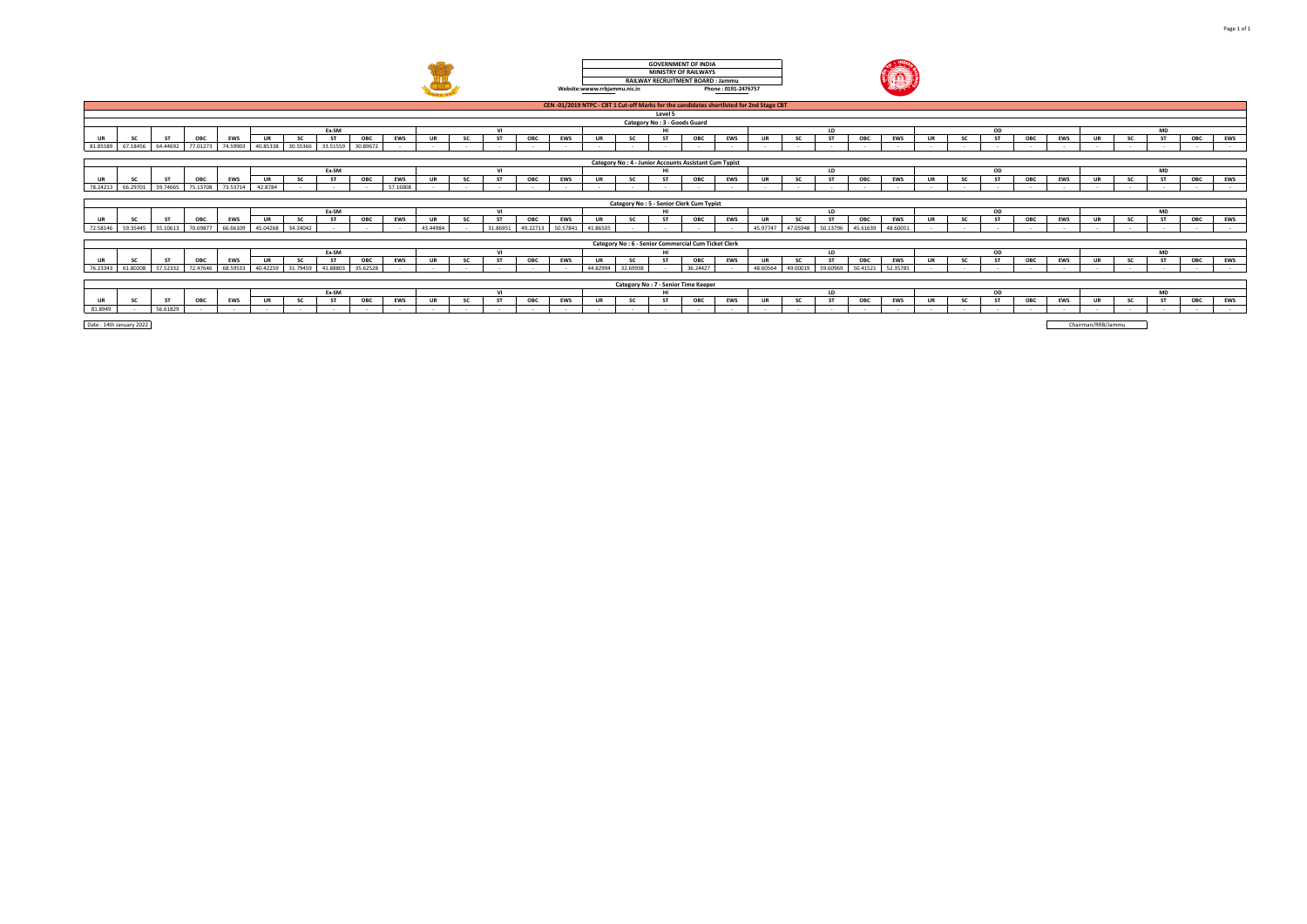



| CEN -01/2019 NTPC - CBT 1 Cut-off Marks for the candidates shortlisted for 2nd Stage CBT                |           |                   |            |            |                                                   |           |           |            |            |           |           |                |          |            |           |           |           |                                                       |            |          |                   |           |            |            |           |           |           |     |            |                    |           |           |     |                          |
|---------------------------------------------------------------------------------------------------------|-----------|-------------------|------------|------------|---------------------------------------------------|-----------|-----------|------------|------------|-----------|-----------|----------------|----------|------------|-----------|-----------|-----------|-------------------------------------------------------|------------|----------|-------------------|-----------|------------|------------|-----------|-----------|-----------|-----|------------|--------------------|-----------|-----------|-----|--------------------------|
|                                                                                                         | Level 5   |                   |            |            |                                                   |           |           |            |            |           |           |                |          |            |           |           |           |                                                       |            |          |                   |           |            |            |           |           |           |     |            |                    |           |           |     |                          |
|                                                                                                         |           |                   |            |            |                                                   |           |           |            |            |           |           |                |          |            |           |           |           |                                                       |            |          |                   |           |            |            |           |           |           |     |            |                    |           |           |     |                          |
| Category No: 3 - Goods Guard<br>Ex-SM<br>OD<br>$\mathbf{v}$<br>LD                                       |           |                   |            |            |                                                   |           |           |            |            |           |           |                |          |            |           |           |           |                                                       |            |          |                   |           |            |            |           |           |           |     |            |                    |           |           |     |                          |
|                                                                                                         |           |                   |            |            |                                                   |           |           |            |            |           |           |                |          |            |           |           |           |                                                       |            |          |                   |           |            |            |           |           |           |     |            |                    |           | <b>MD</b> |     |                          |
| UR                                                                                                      | SC        | <b>ST</b>         | <b>OBC</b> | EWS        | UR                                                | <b>SC</b> | <b>ST</b> | ОВС        | EWS        | UR        | <b>SC</b> | <b>ST</b>      | ОВС      | EWS        | <b>UR</b> | <b>SC</b> | <b>ST</b> | ОВС                                                   | <b>EWS</b> | UR       | sc                | <b>ST</b> | <b>OBC</b> | <b>EWS</b> | <b>UR</b> |           | <b>ST</b> | ОВС | EWS        | UR                 | <b>SC</b> | <b>ST</b> | ОВС | <b>EWS</b>               |
| 81.85589 67.18456                                                                                       |           | 64.44692          | 77.01273   | 74.59903   | 40.85338                                          | 30.55366  | 33.51559  | 30.89672   |            |           |           |                |          |            |           | $\sim$    |           |                                                       |            |          |                   |           |            |            |           |           |           |     |            |                    |           |           |     |                          |
|                                                                                                         |           |                   |            |            |                                                   |           |           |            |            |           |           |                |          |            |           |           |           |                                                       |            |          |                   |           |            |            |           |           |           |     |            |                    |           |           |     |                          |
|                                                                                                         |           |                   |            |            |                                                   |           |           |            |            |           |           |                |          |            |           |           |           | Category No: 4 - Junior Accounts Assistant Cum Typist |            |          |                   |           |            |            |           |           |           |     |            |                    |           |           |     |                          |
|                                                                                                         |           |                   |            |            |                                                   |           | Ex-SM     |            |            |           |           | V <sub>l</sub> |          |            |           |           |           |                                                       |            |          |                   | LD        |            |            |           |           | OD        |     |            |                    |           | <b>MD</b> |     |                          |
| UR                                                                                                      | <b>SC</b> | <b>ST</b>         | ОВС        | EWS        | UR                                                | <b>SC</b> | <b>ST</b> | ОВС        | <b>EWS</b> | UR        | <b>SC</b> | <b>ST</b>      | ОВС      | EWS        | UR        | <b>SC</b> | <b>ST</b> | ОВС                                                   | EWS        | UR       | <b>SC</b>         | <b>ST</b> | ОВС        | <b>EWS</b> | UR        | <b>SC</b> | <b>ST</b> | ОВС | <b>EWS</b> | <b>UR</b>          | <b>SC</b> | <b>ST</b> | ОВС | <b>EWS</b>               |
| 78.24213                                                                                                | 66.29701  | 59.74665          | 75.13708   | 73.53714   | 42.8784                                           |           |           |            | 57.16008   |           |           |                |          |            |           |           |           |                                                       |            |          |                   |           |            |            |           |           |           |     |            |                    |           |           |     | $\sim$ $-$               |
|                                                                                                         |           |                   |            |            |                                                   |           |           |            |            |           |           |                |          |            |           |           |           |                                                       |            |          |                   |           |            |            |           |           |           |     |            |                    |           |           |     |                          |
| Category No: 5 - Senior Clerk Cum Typist<br>Ex-SM<br>LD<br>OD<br><b>MD</b><br>VI                        |           |                   |            |            |                                                   |           |           |            |            |           |           |                |          |            |           |           |           |                                                       |            |          |                   |           |            |            |           |           |           |     |            |                    |           |           |     |                          |
|                                                                                                         |           |                   |            |            |                                                   |           |           |            |            |           |           |                |          |            |           |           |           |                                                       |            |          |                   |           |            |            |           |           |           |     |            |                    |           |           |     |                          |
| UR                                                                                                      | SC        | <b>ST</b>         | ОВС        | <b>EWS</b> | ОВС<br><b>EWS</b><br>UR<br><b>SC</b><br><b>ST</b> |           |           |            |            | UR        | sc        | <b>ST</b>      | ОВС      | EWS        | <b>UR</b> | <b>SC</b> | <b>ST</b> | ОВС                                                   | EWS        | UR       | <b>SC</b>         | <b>ST</b> | ОВС        | <b>EWS</b> | <b>UR</b> | <b>SC</b> | <b>ST</b> | ОВС | <b>EWS</b> | UR                 | <b>SC</b> | <b>ST</b> | ОВС | <b>EWS</b>               |
| 72.58146                                                                                                | 59.35445  | 55.10613          | 70.69877   | 66.66109   | 45.04268                                          | 34.24042  |           |            |            | 43.44984  |           | 31.86951       | 49.22713 | 50.57841   | 41.86505  |           |           |                                                       |            |          | 45.97747 47.05948 | 50.13796  | 45.61639   | 48.60051   |           |           |           |     |            |                    |           |           |     | <b>Contract</b>          |
|                                                                                                         |           |                   |            |            |                                                   |           |           |            |            |           |           |                |          |            |           |           |           |                                                       |            |          |                   |           |            |            |           |           |           |     |            |                    |           |           |     |                          |
|                                                                                                         |           |                   |            |            |                                                   |           |           |            |            |           |           |                |          |            |           |           |           |                                                       |            |          |                   |           |            |            |           |           |           |     |            |                    |           |           |     |                          |
| Category No: 6 - Senior Commercial Cum Ticket Clerk<br>Ex-SM<br>OD<br><b>MD</b><br>V <sub>1</sub><br>LD |           |                   |            |            |                                                   |           |           |            |            |           |           |                |          |            |           |           |           |                                                       |            |          |                   |           |            |            |           |           |           |     |            |                    |           |           |     |                          |
| UR                                                                                                      | SC        | <b>ST</b>         | <b>OBC</b> | EWS        | UR                                                | <b>SC</b> | <b>ST</b> | <b>OBC</b> | EWS        | <b>UR</b> | sc        | <b>ST</b>      | ОВС      | EWS        | UR        | <b>SC</b> | <b>CT</b> | ОВС                                                   | <b>EWS</b> | UR       | <b>SC</b>         | <b>ST</b> | <b>OBC</b> | EWS        | <b>UR</b> | <b>SC</b> | <b>ST</b> | ОВС | EWS        | UR                 | <b>SC</b> | <b>ST</b> | ОВС | <b>EWS</b>               |
|                                                                                                         |           |                   |            |            |                                                   |           |           |            |            |           |           |                |          |            |           |           |           |                                                       |            |          |                   |           |            |            |           |           |           |     |            |                    |           |           |     | <b>Contract</b>          |
| 76.23343 61.80208                                                                                       |           | 57.52332 72.47646 |            | 68.59533   | 40.42259                                          | 31.79459  | 41.88803  | 35.62528   |            |           |           |                |          |            | 44.82994  | 32.69938  |           | 36.24427                                              |            | 48.60564 | 49.00019          | 59.60969  | 50.41521   | 52.35785   |           |           |           |     |            |                    |           |           |     |                          |
|                                                                                                         |           |                   |            |            |                                                   |           |           |            |            |           |           |                |          |            |           |           |           |                                                       |            |          |                   |           |            |            |           |           |           |     |            |                    |           |           |     |                          |
|                                                                                                         |           |                   |            |            |                                                   |           |           |            |            |           |           |                |          |            |           |           |           | Category No: 7 - Senior Time Keeper                   |            |          |                   |           |            |            |           |           |           |     |            |                    |           |           |     |                          |
|                                                                                                         |           |                   |            |            |                                                   |           | Ex-SM     |            |            |           |           |                |          |            |           |           |           |                                                       |            |          |                   | ID        |            |            |           |           | OD        |     |            |                    |           | <b>MD</b> |     |                          |
| UR                                                                                                      | SC        | <b>ST</b>         | ОВС        | EWS        | UR                                                | <b>SC</b> | <b>ST</b> | ОВС        | <b>EWS</b> | UR        | <b>SC</b> | <b>ST</b>      | ОВС      | <b>EWS</b> | UR        | <b>SC</b> | cт        | ОВС                                                   | EWS        | UR       | <b>SC</b>         | <b>ST</b> | ОВС        | <b>EWS</b> | <b>UR</b> | <b>SC</b> | <b>ST</b> | ОВС | <b>EWS</b> | <b>UR</b>          | <b>SC</b> | <b>ST</b> | ОВС | <b>EWS</b>               |
| 81.8949                                                                                                 |           | 56.61829          |            |            |                                                   |           |           |            |            |           |           |                |          |            |           | $\sim$    |           |                                                       |            |          |                   |           |            | $\sim$     |           |           |           |     |            |                    |           |           |     | <b>Contract Contract</b> |
|                                                                                                         |           |                   |            |            |                                                   |           |           |            |            |           |           |                |          |            |           |           |           |                                                       |            |          |                   |           |            |            |           |           |           |     |            |                    |           |           |     |                          |
| Date: 14th January 2022                                                                                 |           |                   |            |            |                                                   |           |           |            |            |           |           |                |          |            |           |           |           |                                                       |            |          |                   |           |            |            |           |           |           |     |            | Chairman/RRB/Jammu |           |           |     |                          |